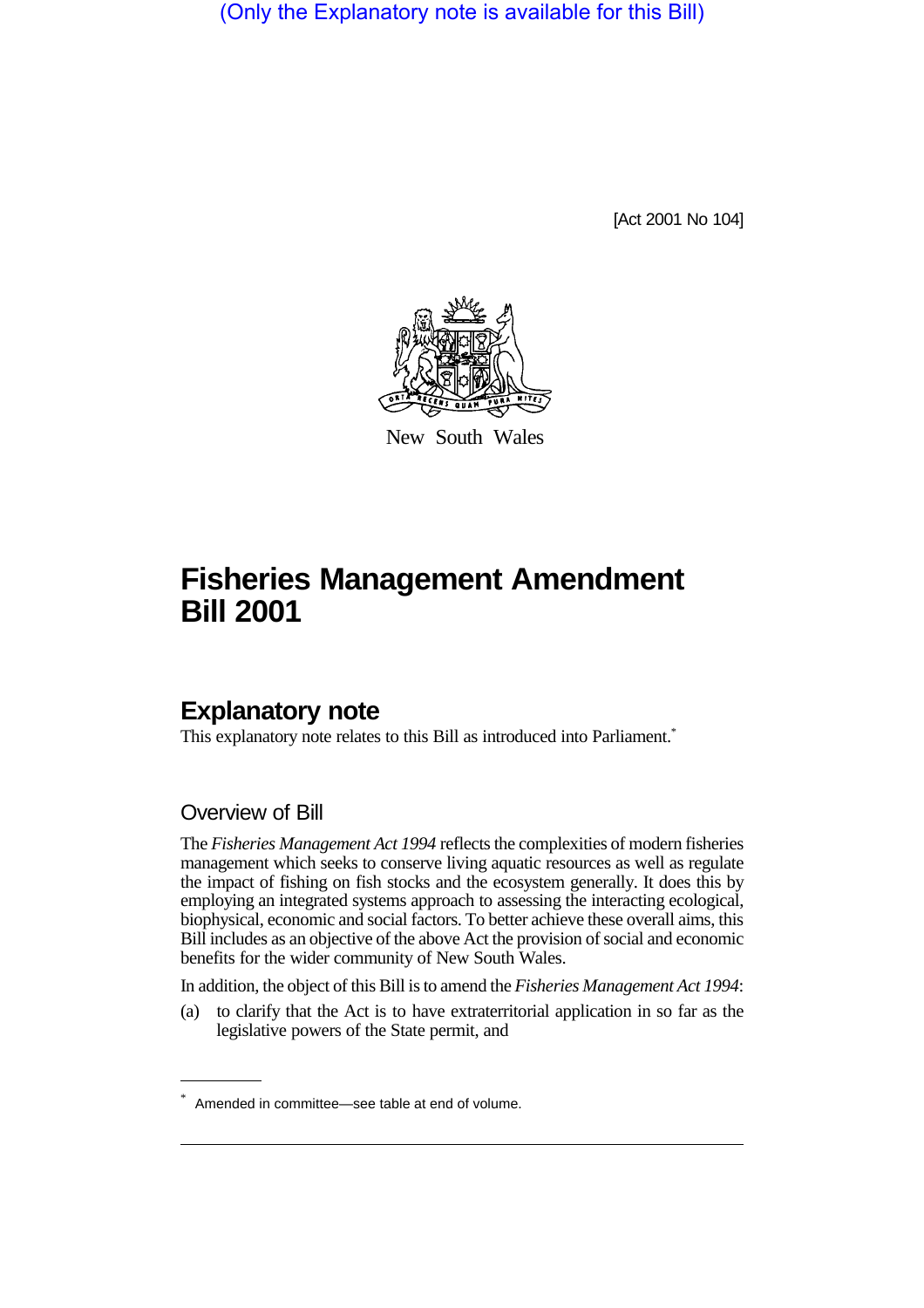(Only the Explanatory note is available for this Bill)

[Act 2001 No 104]



New South Wales

# **Fisheries Management Amendment Bill 2001**

# **Explanatory note**

This explanatory note relates to this Bill as introduced into Parliament.<sup>\*</sup>

## Overview of Bill

The *Fisheries Management Act 1994* reflects the complexities of modern fisheries management which seeks to conserve living aquatic resources as well as regulate the impact of fishing on fish stocks and the ecosystem generally. It does this by employing an integrated systems approach to assessing the interacting ecological, biophysical, economic and social factors. To better achieve these overall aims, this Bill includes as an objective of the above Act the provision of social and economic benefits for the wider community of New South Wales.

In addition, the object of this Bill is to amend the *Fisheries Management Act 1994*:

(a) to clarify that the Act is to have extraterritorial application in so far as the legislative powers of the State permit, and

<sup>\*</sup> Amended in committee—see table at end of volume.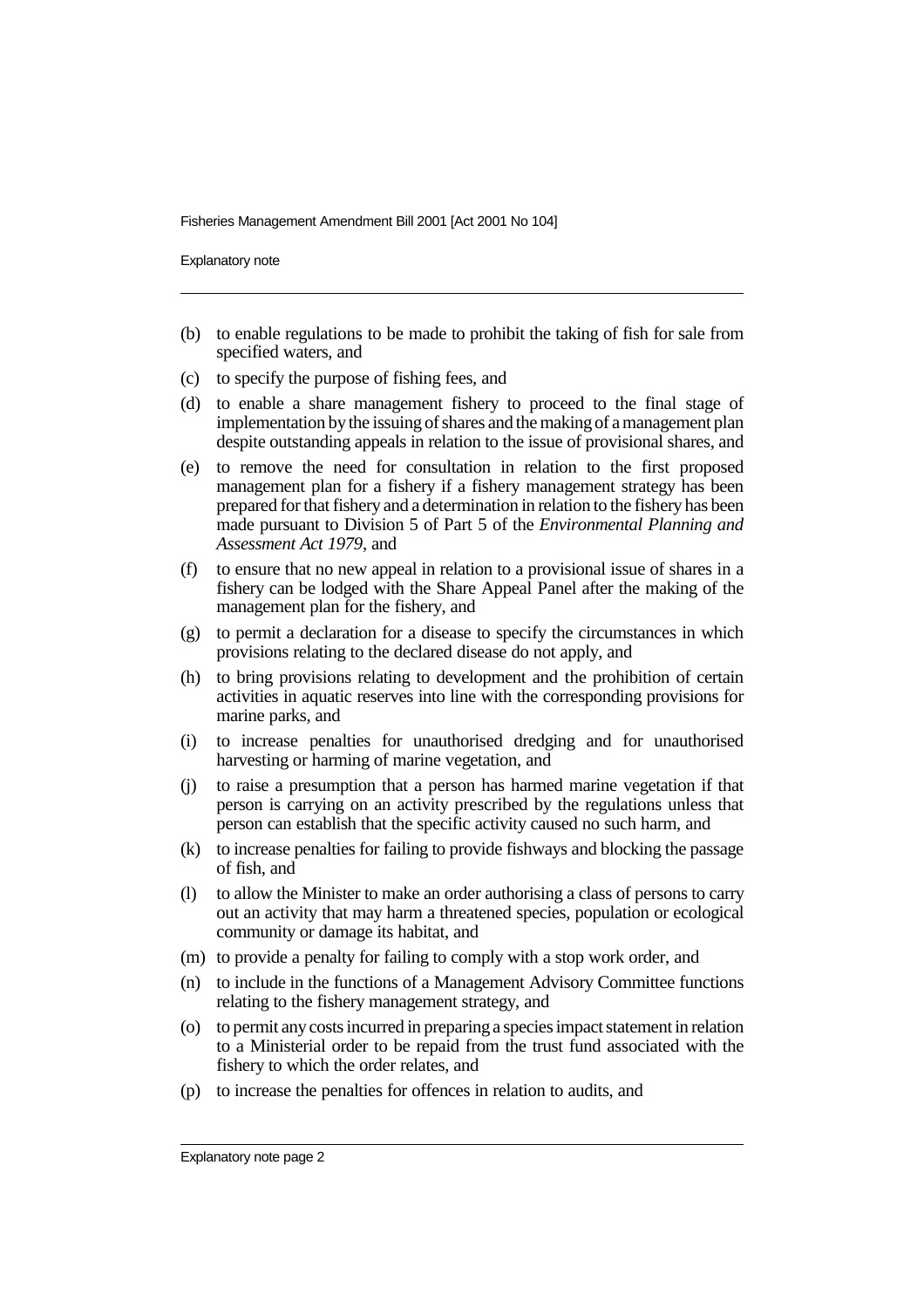Explanatory note

- (b) to enable regulations to be made to prohibit the taking of fish for sale from specified waters, and
- (c) to specify the purpose of fishing fees, and
- (d) to enable a share management fishery to proceed to the final stage of implementation by the issuing of shares and the making of a management plan despite outstanding appeals in relation to the issue of provisional shares, and
- (e) to remove the need for consultation in relation to the first proposed management plan for a fishery if a fishery management strategy has been prepared for that fishery and a determination in relation to the fishery has been made pursuant to Division 5 of Part 5 of the *Environmental Planning and Assessment Act 1979*, and
- (f) to ensure that no new appeal in relation to a provisional issue of shares in a fishery can be lodged with the Share Appeal Panel after the making of the management plan for the fishery, and
- (g) to permit a declaration for a disease to specify the circumstances in which provisions relating to the declared disease do not apply, and
- (h) to bring provisions relating to development and the prohibition of certain activities in aquatic reserves into line with the corresponding provisions for marine parks, and
- (i) to increase penalties for unauthorised dredging and for unauthorised harvesting or harming of marine vegetation, and
- (j) to raise a presumption that a person has harmed marine vegetation if that person is carrying on an activity prescribed by the regulations unless that person can establish that the specific activity caused no such harm, and
- (k) to increase penalties for failing to provide fishways and blocking the passage of fish, and
- (l) to allow the Minister to make an order authorising a class of persons to carry out an activity that may harm a threatened species, population or ecological community or damage its habitat, and
- (m) to provide a penalty for failing to comply with a stop work order, and
- (n) to include in the functions of a Management Advisory Committee functions relating to the fishery management strategy, and
- (o) to permit any costs incurred in preparing a species impact statement in relation to a Ministerial order to be repaid from the trust fund associated with the fishery to which the order relates, and
- (p) to increase the penalties for offences in relation to audits, and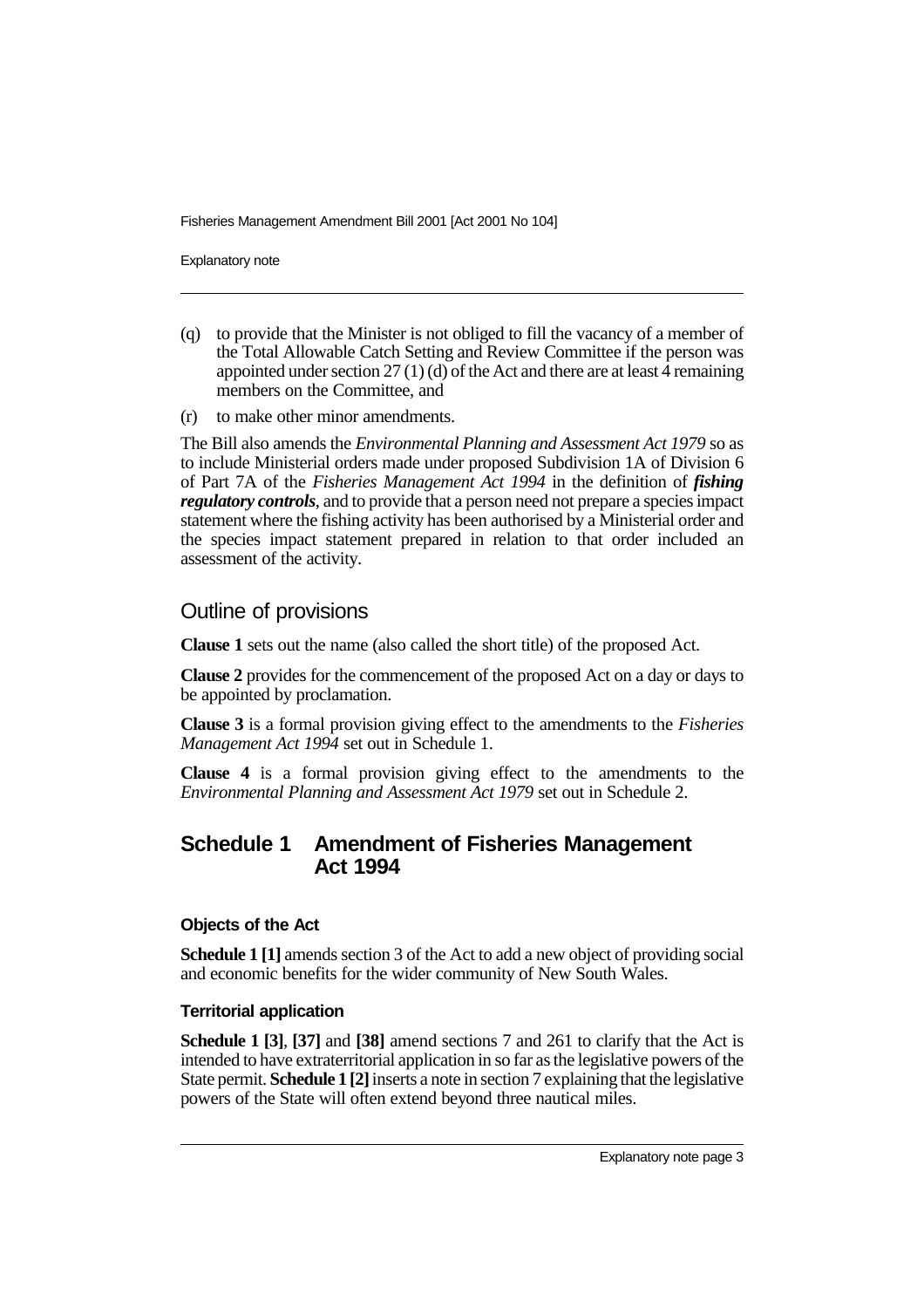Explanatory note

- (q) to provide that the Minister is not obliged to fill the vacancy of a member of the Total Allowable Catch Setting and Review Committee if the person was appointed under section 27 (1) (d) of the Act and there are at least 4 remaining members on the Committee, and
- (r) to make other minor amendments.

The Bill also amends the *Environmental Planning and Assessment Act 1979* so as to include Ministerial orders made under proposed Subdivision 1A of Division 6 of Part 7A of the *Fisheries Management Act 1994* in the definition of *fishing regulatory controls*, and to provide that a person need not prepare a species impact statement where the fishing activity has been authorised by a Ministerial order and the species impact statement prepared in relation to that order included an assessment of the activity.

### Outline of provisions

**Clause 1** sets out the name (also called the short title) of the proposed Act.

**Clause 2** provides for the commencement of the proposed Act on a day or days to be appointed by proclamation.

**Clause 3** is a formal provision giving effect to the amendments to the *Fisheries Management Act 1994* set out in Schedule 1.

**Clause 4** is a formal provision giving effect to the amendments to the *Environmental Planning and Assessment Act 1979* set out in Schedule 2.

## **Schedule 1 Amendment of Fisheries Management Act 1994**

#### **Objects of the Act**

**Schedule 1 [1]** amends section 3 of the Act to add a new object of providing social and economic benefits for the wider community of New South Wales.

#### **Territorial application**

**Schedule 1 [3]**, **[37]** and **[38]** amend sections 7 and 261 to clarify that the Act is intended to have extraterritorial application in so far as the legislative powers of the State permit. **Schedule 1 [2]** inserts a note in section 7 explaining that the legislative powers of the State will often extend beyond three nautical miles.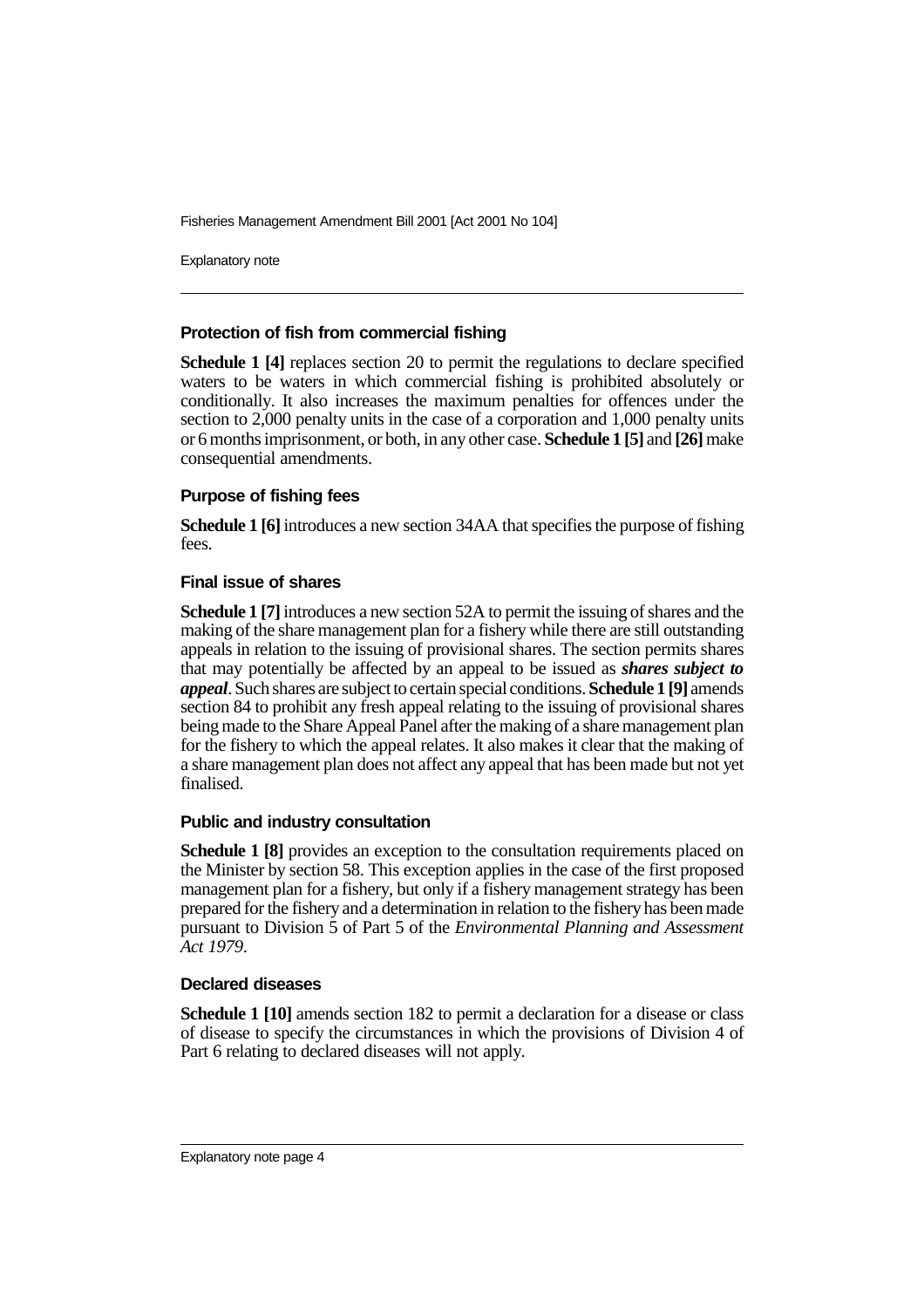Explanatory note

#### **Protection of fish from commercial fishing**

**Schedule 1 [4]** replaces section 20 to permit the regulations to declare specified waters to be waters in which commercial fishing is prohibited absolutely or conditionally. It also increases the maximum penalties for offences under the section to 2,000 penalty units in the case of a corporation and 1,000 penalty units or 6 months imprisonment, or both, in any other case. **Schedule 1 [5]** and **[26]** make consequential amendments.

#### **Purpose of fishing fees**

**Schedule 1 [6]** introduces a new section 34AA that specifies the purpose of fishing fees.

#### **Final issue of shares**

**Schedule 1 [7]** introduces a new section 52A to permit the issuing of shares and the making of the share management plan for a fishery while there are still outstanding appeals in relation to the issuing of provisional shares. The section permits shares that may potentially be affected by an appeal to be issued as *shares subject to appeal*. Such shares are subject to certain special conditions. **Schedule 1 [9]** amends section 84 to prohibit any fresh appeal relating to the issuing of provisional shares being made to the Share Appeal Panel after the making of a share management plan for the fishery to which the appeal relates. It also makes it clear that the making of a share management plan does not affect any appeal that has been made but not yet finalised.

#### **Public and industry consultation**

**Schedule 1 [8]** provides an exception to the consultation requirements placed on the Minister by section 58. This exception applies in the case of the first proposed management plan for a fishery, but only if a fishery management strategy has been prepared for the fishery and a determination in relation to the fishery has been made pursuant to Division 5 of Part 5 of the *Environmental Planning and Assessment Act 1979*.

#### **Declared diseases**

**Schedule 1 [10]** amends section 182 to permit a declaration for a disease or class of disease to specify the circumstances in which the provisions of Division 4 of Part 6 relating to declared diseases will not apply.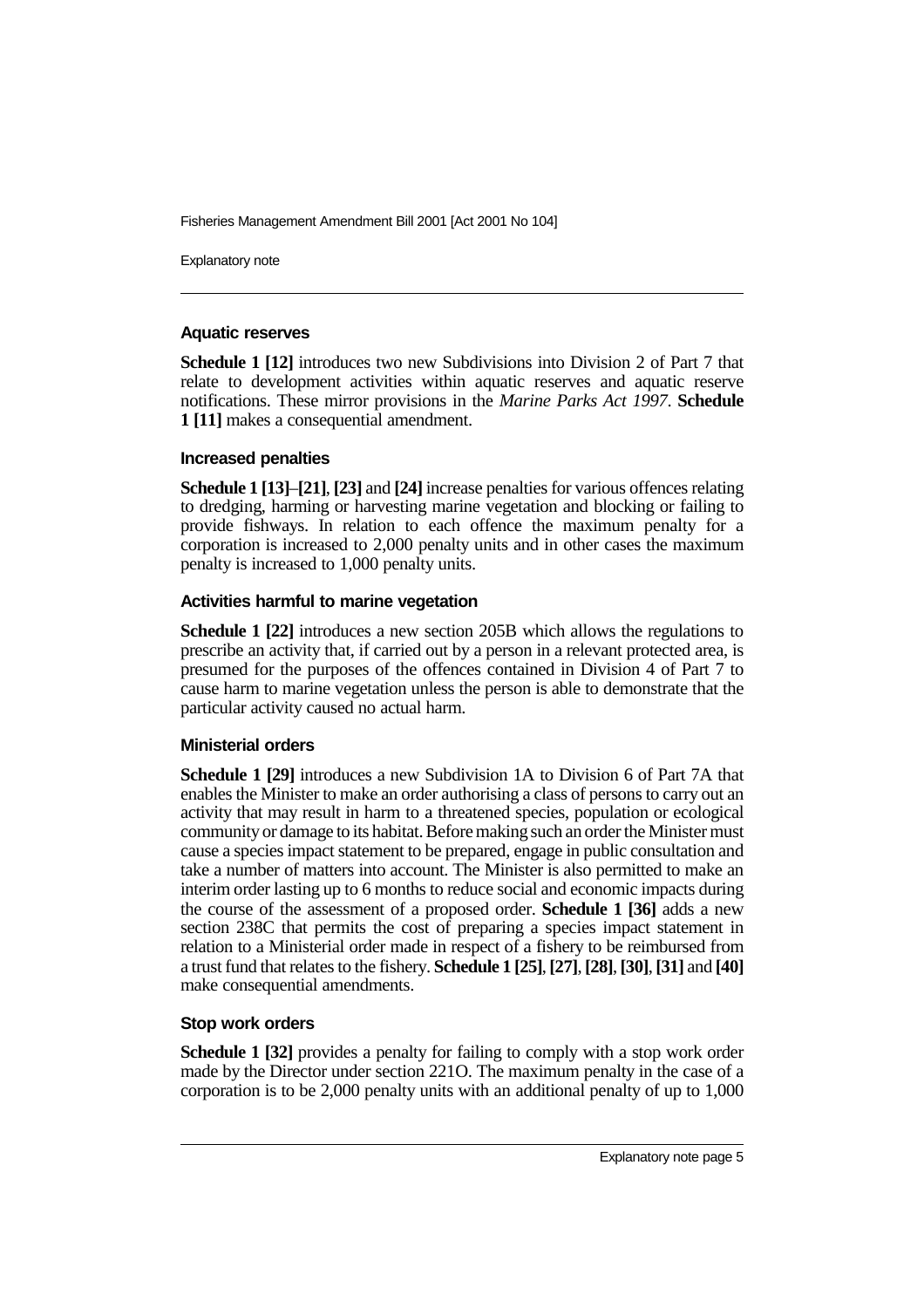Explanatory note

#### **Aquatic reserves**

**Schedule 1 [12]** introduces two new Subdivisions into Division 2 of Part 7 that relate to development activities within aquatic reserves and aquatic reserve notifications. These mirror provisions in the *Marine Parks Act 1997*. **Schedule 1 [11]** makes a consequential amendment.

#### **Increased penalties**

**Schedule 1 [13]**–**[21]**, **[23]** and **[24]** increase penalties for various offences relating to dredging, harming or harvesting marine vegetation and blocking or failing to provide fishways. In relation to each offence the maximum penalty for a corporation is increased to 2,000 penalty units and in other cases the maximum penalty is increased to 1,000 penalty units.

#### **Activities harmful to marine vegetation**

**Schedule 1 [22]** introduces a new section 205B which allows the regulations to prescribe an activity that, if carried out by a person in a relevant protected area, is presumed for the purposes of the offences contained in Division 4 of Part 7 to cause harm to marine vegetation unless the person is able to demonstrate that the particular activity caused no actual harm.

#### **Ministerial orders**

**Schedule 1 [29]** introduces a new Subdivision 1A to Division 6 of Part 7A that enables the Minister to make an order authorising a class of persons to carry out an activity that may result in harm to a threatened species, population or ecological community or damage to its habitat. Before making such an order the Minister must cause a species impact statement to be prepared, engage in public consultation and take a number of matters into account. The Minister is also permitted to make an interim order lasting up to 6 months to reduce social and economic impacts during the course of the assessment of a proposed order. **Schedule 1 [36]** adds a new section 238C that permits the cost of preparing a species impact statement in relation to a Ministerial order made in respect of a fishery to be reimbursed from a trust fund that relates to the fishery. **Schedule 1 [25]**, **[27]**, **[28]**, **[30]**, **[31]** and **[40]** make consequential amendments.

#### **Stop work orders**

**Schedule 1 [32]** provides a penalty for failing to comply with a stop work order made by the Director under section 221O. The maximum penalty in the case of a corporation is to be 2,000 penalty units with an additional penalty of up to 1,000